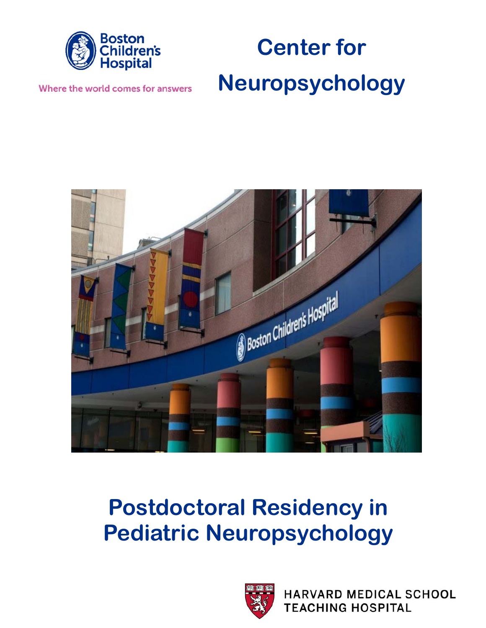

# **Center for Neuropsychology**

Where the world comes for answers



## **Postdoctoral Residency in Pediatric Neuropsychology**



**HARVARD MEDICAL SCHOOL TEACHING HOSPITAL**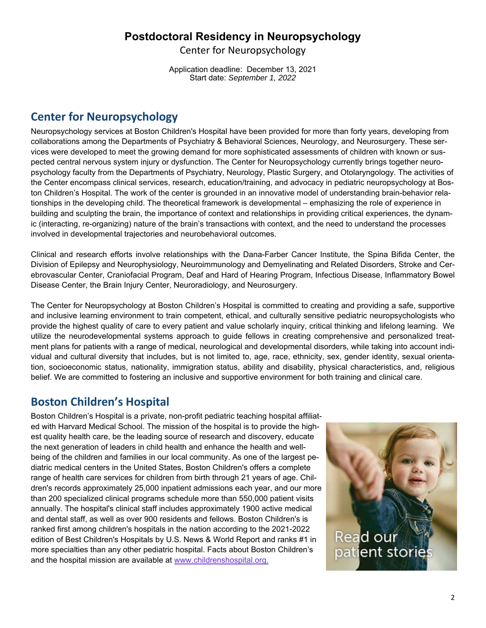## **Postdoctoral Residency in Neuropsychology**

Center for Neuropsychology

Application deadline: December 13, 2021 Start date: *September 1, 2022* 

## **Center for Neuropsychology**

Neuropsychology services at Boston Children's Hospital have been provided for more than forty years, developing from collaborations among the Departments of Psychiatry & Behavioral Sciences, Neurology, and Neurosurgery. These services were developed to meet the growing demand for more sophisticated assessments of children with known or suspected central nervous system injury or dysfunction. The Center for Neuropsychology currently brings together neuropsychology faculty from the Departments of Psychiatry, Neurology, Plastic Surgery, and Otolaryngology. The activities of the Center encompass clinical services, research, education/training, and advocacy in pediatric neuropsychology at Boston Children's Hospital. The work of the center is grounded in an innovative model of understanding brain-behavior relationships in the developing child. The theoretical framework is developmental – emphasizing the role of experience in building and sculpting the brain, the importance of context and relationships in providing critical experiences, the dynamic (interacting, re-organizing) nature of the brain's transactions with context, and the need to understand the processes involved in developmental trajectories and neurobehavioral outcomes.

Clinical and research efforts involve relationships with the Dana-Farber Cancer Institute, the Spina Bifida Center, the Division of Epilepsy and Neurophysiology, Neuroimmunology and Demyelinating and Related Disorders, Stroke and Cerebrovascular Center, Craniofacial Program, Deaf and Hard of Hearing Program, Infectious Disease, Inflammatory Bowel Disease Center, the Brain Injury Center, Neuroradiology, and Neurosurgery.

The Center for Neuropsychology at Boston Children's Hospital is committed to creating and providing a safe, supportive and inclusive learning environment to train competent, ethical, and culturally sensitive pediatric neuropsychologists who provide the highest quality of care to every patient and value scholarly inquiry, critical thinking and lifelong learning. We utilize the neurodevelopmental systems approach to guide fellows in creating comprehensive and personalized treatment plans for patients with a range of medical, neurological and developmental disorders, while taking into account individual and cultural diversity that includes, but is not limited to, age, race, ethnicity, sex, gender identity, sexual orientation, socioeconomic status, nationality, immigration status, ability and disability, physical characteristics, and, religious belief. We are committed to fostering an inclusive and supportive environment for both training and clinical care.

## **Boston Children's Hospital**

Boston Children's Hospital is a private, non-profit pediatric teaching hospital affiliated with Harvard Medical School. The mission of the hospital is to provide the highest quality health care, be the leading source of research and discovery, educate the next generation of leaders in child health and enhance the health and wellbeing of the children and families in our local community. As one of the largest pediatric medical centers in the United States, Boston Children's offers a complete range of health care services for children from birth through 21 years of age. Children's records approximately 25,000 inpatient admissions each year, and our more than 200 specialized clinical programs schedule more than 550,000 patient visits annually. The hospital's clinical staff includes approximately 1900 active medical and dental staff, as well as over 900 residents and fellows. Boston Children's is ranked first among children's hospitals in the nation according to the 2021-2022 edition of Best Children's Hospitals by U.S. News & World Report and ranks #1 in more specialties than any other pediatric hospital. Facts about Boston Children's and the hospital mission are available at www.childrenshospital.org.

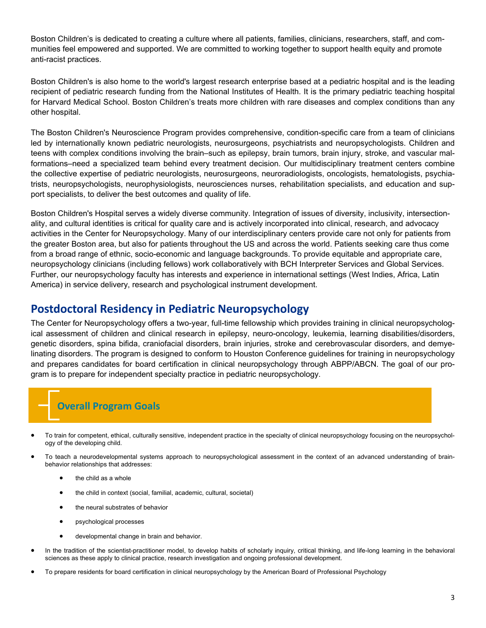Boston Children's is dedicated to creating a culture where all patients, families, clinicians, researchers, staff, and communities feel empowered and supported. We are committed to working together to support health equity and promote anti-racist practices.

Boston Children's is also home to the world's largest research enterprise based at a pediatric hospital and is the leading recipient of pediatric research funding from the National Institutes of Health. It is the primary pediatric teaching hospital for Harvard Medical School. Boston Children's treats more children with rare diseases and complex conditions than any other hospital.

The Boston Children's Neuroscience Program provides comprehensive, condition-specific care from a team of clinicians led by internationally known pediatric neurologists, neurosurgeons, psychiatrists and neuropsychologists. Children and teens with complex conditions involving the brain–such as epilepsy, brain tumors, brain injury, stroke, and vascular malformations–need a specialized team behind every treatment decision. Our multidisciplinary treatment centers combine the collective expertise of pediatric neurologists, neurosurgeons, neuroradiologists, oncologists, hematologists, psychiatrists, neuropsychologists, neurophysiologists, neurosciences nurses, rehabilitation specialists, and education and support specialists, to deliver the best outcomes and quality of life.

Boston Children's Hospital serves a widely diverse community. Integration of issues of diversity, inclusivity, intersectionality, and cultural identities is critical for quality care and is actively incorporated into clinical, research, and advocacy activities in the Center for Neuropsychology. Many of our interdisciplinary centers provide care not only for patients from the greater Boston area, but also for patients throughout the US and across the world. Patients seeking care thus come from a broad range of ethnic, socio-economic and language backgrounds. To provide equitable and appropriate care, neuropsychology clinicians (including fellows) work collaboratively with BCH Interpreter Services and Global Services. Further, our neuropsychology faculty has interests and experience in international settings (West Indies, Africa, Latin America) in service delivery, research and psychological instrument development.

## **Postdoctoral Residency in Pediatric Neuropsychology**

The Center for Neuropsychology offers a two-year, full-time fellowship which provides training in clinical neuropsychological assessment of children and clinical research in epilepsy, neuro-oncology, leukemia, learning disabilities/disorders, genetic disorders, spina bifida, craniofacial disorders, brain injuries, stroke and cerebrovascular disorders, and demyelinating disorders. The program is designed to conform to Houston Conference guidelines for training in neuropsychology and prepares candidates for board certification in clinical neuropsychology through ABPP/ABCN. The goal of our program is to prepare for independent specialty practice in pediatric neuropsychology.

## **Overall Program Goals**

- To train for competent, ethical, culturally sensitive, independent practice in the specialty of clinical neuropsychology focusing on the neuropsychology of the developing child.
- To teach a neurodevelopmental systems approach to neuropsychological assessment in the context of an advanced understanding of brainbehavior relationships that addresses:
	- the child as a whole
	- the child in context (social, familial, academic, cultural, societal)
	- the neural substrates of behavior
	- psychological processes
	- developmental change in brain and behavior.
- In the tradition of the scientist-practitioner model, to develop habits of scholarly inquiry, critical thinking, and life-long learning in the behavioral sciences as these apply to clinical practice, research investigation and ongoing professional development.
- To prepare residents for board certification in clinical neuropsychology by the American Board of Professional Psychology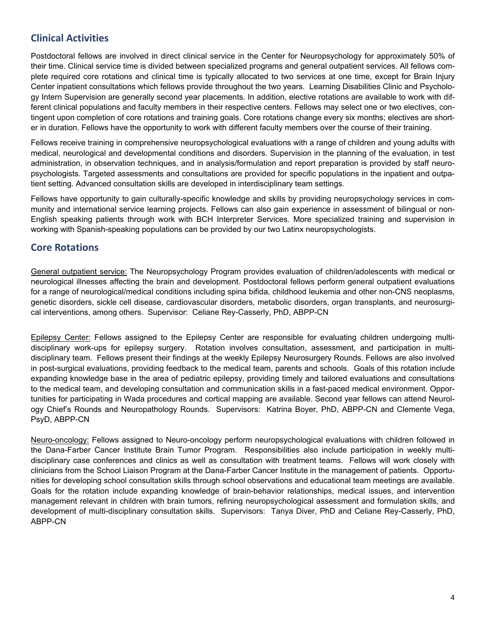## **Clinical Activities**

Postdoctoral fellows are involved in direct clinical service in the Center for Neuropsychology for approximately 50% of their time. Clinical service time is divided between specialized programs and general outpatient services. All fellows complete required core rotations and clinical time is typically allocated to two services at one time, except for Brain Injury Center inpatient consultations which fellows provide throughout the two years. Learning Disabilities Clinic and Psychology Intern Supervision are generally second year placements. In addition, elective rotations are available to work with different clinical populations and faculty members in their respective centers. Fellows may select one or two electives, contingent upon completion of core rotations and training goals. Core rotations change every six months; electives are shorter in duration. Fellows have the opportunity to work with different faculty members over the course of their training.

Fellows receive training in comprehensive neuropsychological evaluations with a range of children and young adults with medical, neurological and developmental conditions and disorders. Supervision in the planning of the evaluation, in test administration, in observation techniques, and in analysis/formulation and report preparation is provided by staff neuropsychologists. Targeted assessments and consultations are provided for specific populations in the inpatient and outpatient setting. Advanced consultation skills are developed in interdisciplinary team settings.

Fellows have opportunity to gain culturally-specific knowledge and skills by providing neuropsychology services in community and international service learning projects. Fellows can also gain experience in assessment of bilingual or non-English speaking patients through work with BCH Interpreter Services. More specialized training and supervision in working with Spanish-speaking populations can be provided by our two Latinx neuropsychologists.

## **Core Rotations**

General outpatient service: The Neuropsychology Program provides evaluation of children/adolescents with medical or neurological illnesses affecting the brain and development. Postdoctoral fellows perform general outpatient evaluations for a range of neurological/medical conditions including spina bifida, childhood leukemia and other non-CNS neoplasms, genetic disorders, sickle cell disease, cardiovascular disorders, metabolic disorders, organ transplants, and neurosurgical interventions, among others. Supervisor: Celiane Rey-Casserly, PhD, ABPP-CN

Epilepsy Center: Fellows assigned to the Epilepsy Center are responsible for evaluating children undergoing multidisciplinary work-ups for epilepsy surgery. Rotation involves consultation, assessment, and participation in multidisciplinary team. Fellows present their findings at the weekly Epilepsy Neurosurgery Rounds. Fellows are also involved in post-surgical evaluations, providing feedback to the medical team, parents and schools. Goals of this rotation include expanding knowledge base in the area of pediatric epilepsy, providing timely and tailored evaluations and consultations to the medical team, and developing consultation and communication skills in a fast-paced medical environment. Opportunities for participating in Wada procedures and cortical mapping are available. Second year fellows can attend Neurology Chief's Rounds and Neuropathology Rounds. Supervisors: Katrina Boyer, PhD, ABPP-CN and Clemente Vega, PsyD, ABPP-CN

Neuro-oncology: Fellows assigned to Neuro-oncology perform neuropsychological evaluations with children followed in the Dana-Farber Cancer Institute Brain Tumor Program. Responsibilities also include participation in weekly multidisciplinary case conferences and clinics as well as consultation with treatment teams. Fellows will work closely with clinicians from the School Liaison Program at the Dana-Farber Cancer Institute in the management of patients. Opportunities for developing school consultation skills through school observations and educational team meetings are available. Goals for the rotation include expanding knowledge of brain-behavior relationships, medical issues, and intervention management relevant in children with brain tumors, refining neuropsychological assessment and formulation skills, and development of multi-disciplinary consultation skills. Supervisors: Tanya Diver, PhD and Celiane Rey-Casserly, PhD, ABPP-CN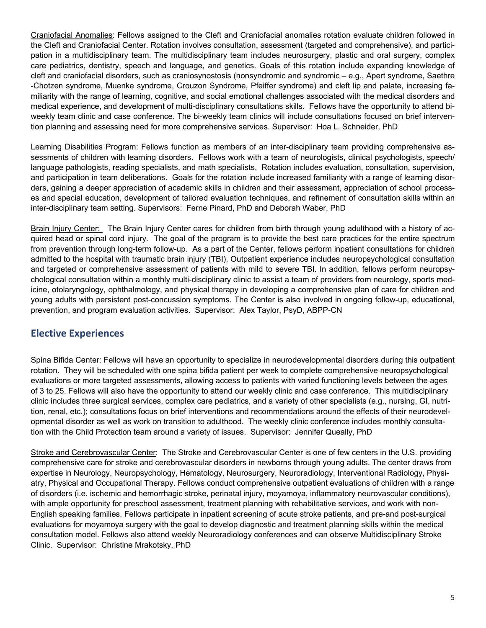Craniofacial Anomalies: Fellows assigned to the Cleft and Craniofacial anomalies rotation evaluate children followed in the Cleft and Craniofacial Center. Rotation involves consultation, assessment (targeted and comprehensive), and participation in a multidisciplinary team. The multidisciplinary team includes neurosurgery, plastic and oral surgery, complex care pediatrics, dentistry, speech and language, and genetics. Goals of this rotation include expanding knowledge of cleft and craniofacial disorders, such as craniosynostosis (nonsyndromic and syndromic – e.g., Apert syndrome, Saethre -Chotzen syndrome, Muenke syndrome, Crouzon Syndrome, Pfeiffer syndrome) and cleft lip and palate, increasing familiarity with the range of learning, cognitive, and social emotional challenges associated with the medical disorders and medical experience, and development of multi-disciplinary consultations skills. Fellows have the opportunity to attend biweekly team clinic and case conference. The bi-weekly team clinics will include consultations focused on brief intervention planning and assessing need for more comprehensive services. Supervisor: Hoa L. Schneider, PhD

Learning Disabilities Program: Fellows function as members of an inter-disciplinary team providing comprehensive assessments of children with learning disorders. Fellows work with a team of neurologists, clinical psychologists, speech/ language pathologists, reading specialists, and math specialists. Rotation includes evaluation, consultation, supervision, and participation in team deliberations. Goals for the rotation include increased familiarity with a range of learning disorders, gaining a deeper appreciation of academic skills in children and their assessment, appreciation of school processes and special education, development of tailored evaluation techniques, and refinement of consultation skills within an inter-disciplinary team setting. Supervisors: Ferne Pinard, PhD and Deborah Waber, PhD

Brain Injury Center: The Brain Injury Center cares for children from birth through young adulthood with a history of acquired head or spinal cord injury. The goal of the program is to provide the best care practices for the entire spectrum from prevention through long-term follow-up. As a part of the Center, fellows perform inpatient consultations for children admitted to the hospital with traumatic brain injury (TBI). Outpatient experience includes neuropsychological consultation and targeted or comprehensive assessment of patients with mild to severe TBI. In addition, fellows perform neuropsychological consultation within a monthly multi-disciplinary clinic to assist a team of providers from neurology, sports medicine, otolaryngology, ophthalmology, and physical therapy in developing a comprehensive plan of care for children and young adults with persistent post-concussion symptoms. The Center is also involved in ongoing follow-up, educational, prevention, and program evaluation activities. Supervisor: Alex Taylor, PsyD, ABPP-CN

## **Elective Experiences**

Spina Bifida Center: Fellows will have an opportunity to specialize in neurodevelopmental disorders during this outpatient rotation. They will be scheduled with one spina bifida patient per week to complete comprehensive neuropsychological evaluations or more targeted assessments, allowing access to patients with varied functioning levels between the ages of 3 to 25. Fellows will also have the opportunity to attend our weekly clinic and case conference. This multidisciplinary clinic includes three surgical services, complex care pediatrics, and a variety of other specialists (e.g., nursing, GI, nutrition, renal, etc.); consultations focus on brief interventions and recommendations around the effects of their neurodevelopmental disorder as well as work on transition to adulthood. The weekly clinic conference includes monthly consultation with the Child Protection team around a variety of issues. Supervisor: Jennifer Queally, PhD

Stroke and Cerebrovascular Center: The Stroke and Cerebrovascular Center is one of few centers in the U.S. providing comprehensive care for stroke and cerebrovascular disorders in newborns through young adults. The center draws from expertise in Neurology, Neuropsychology, Hematology, Neurosurgery, Neuroradiology, Interventional Radiology, Physiatry, Physical and Occupational Therapy. Fellows conduct comprehensive outpatient evaluations of children with a range of disorders (i.e. ischemic and hemorrhagic stroke, perinatal injury, moyamoya, inflammatory neurovascular conditions), with ample opportunity for preschool assessment, treatment planning with rehabilitative services, and work with non-English speaking families. Fellows participate in inpatient screening of acute stroke patients, and pre-and post-surgical evaluations for moyamoya surgery with the goal to develop diagnostic and treatment planning skills within the medical consultation model. Fellows also attend weekly Neuroradiology conferences and can observe Multidisciplinary Stroke Clinic. Supervisor: Christine Mrakotsky, PhD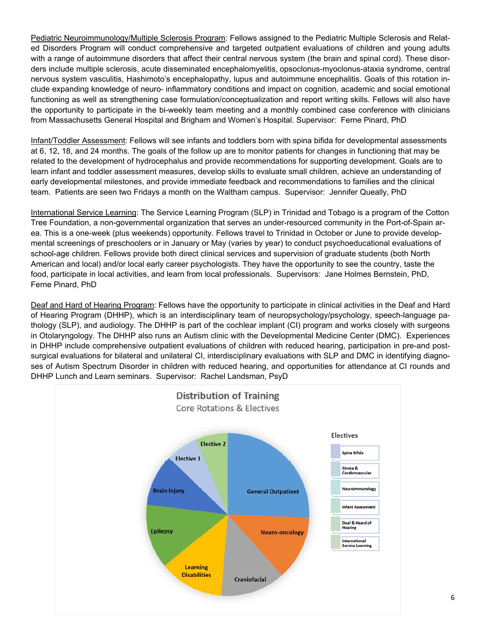Pediatric Neuroimmunology/Multiple Sclerosis Program: Fellows assigned to the Pediatric Multiple Sclerosis and Related Disorders Program will conduct comprehensive and targeted outpatient evaluations of children and young adults with a range of autoimmune disorders that affect their central nervous system (the brain and spinal cord). These disorders include multiple sclerosis, acute disseminated encephalomyelitis, opsoclonus-myoclonus-ataxia syndrome, central nervous system vasculitis, Hashimoto's encephalopathy, lupus and autoimmune encephalitis. Goals of this rotation include expanding knowledge of neuro- inflammatory conditions and impact on cognition, academic and social emotional functioning as well as strengthening case formulation/conceptualization and report writing skills. Fellows will also have the opportunity to participate in the bi-weekly team meeting and a monthly combined case conference with clinicians from Massachusetts General Hospital and Brigham and Women's Hospital. Supervisor: Ferne Pinard, PhD

Infant/Toddler Assessment: Fellows will see infants and toddlers born with spina bifida for developmental assessments at 6, 12, 18, and 24 months. The goals of the follow up are to monitor patients for changes in functioning that may be related to the development of hydrocephalus and provide recommendations for supporting development. Goals are to learn infant and toddler assessment measures, develop skills to evaluate small children, achieve an understanding of early developmental milestones, and provide immediate feedback and recommendations to families and the clinical team. Patients are seen two Fridays a month on the Waltham campus. Supervisor: Jennifer Queally, PhD

International Service Learning: The Service Learning Program (SLP) in Trinidad and Tobago is a program of the Cotton Tree Foundation, a non-governmental organization that serves an under-resourced community in the Port-of-Spain area. This is a one-week (plus weekends) opportunity. Fellows travel to Trinidad in October or June to provide developmental screenings of preschoolers or in January or May (varies by year) to conduct psychoeducational evaluations of school-age children. Fellows provide both direct clinical services and supervision of graduate students (both North American and local) and/or local early career psychologists. They have the opportunity to see the country, taste the food, participate in local activities, and learn from local professionals. Supervisors: Jane Holmes Bernstein, PhD, Ferne Pinard, PhD

Deaf and Hard of Hearing Program: Fellows have the opportunity to participate in clinical activities in the Deaf and Hard of Hearing Program (DHHP), which is an interdisciplinary team of neuropsychology/psychology, speech-language pathology (SLP), and audiology. The DHHP is part of the cochlear implant (CI) program and works closely with surgeons in Otolaryngology. The DHHP also runs an Autism clinic with the Developmental Medicine Center (DMC). Experiences in DHHP include comprehensive outpatient evaluations of children with reduced hearing, participation in pre-and postsurgical evaluations for bilateral and unilateral CI, interdisciplinary evaluations with SLP and DMC in identifying diagnoses of Autism Spectrum Disorder in children with reduced hearing, and opportunities for attendance at CI rounds and DHHP Lunch and Learn seminars. Supervisor: Rachel Landsman, PsyD

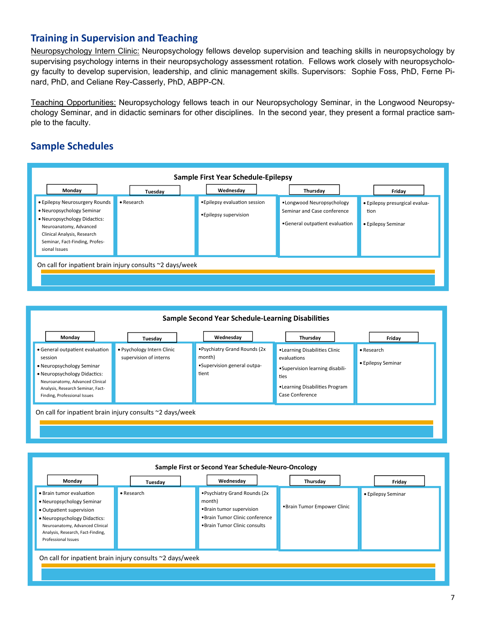## **Training in Supervision and Teaching**

Neuropsychology Intern Clinic: Neuropsychology fellows develop supervision and teaching skills in neuropsychology by supervising psychology interns in their neuropsychology assessment rotation. Fellows work closely with neuropsychology faculty to develop supervision, leadership, and clinic management skills. Supervisors: Sophie Foss, PhD, Ferne Pinard, PhD, and Celiane Rey-Casserly, PhD, ABPP-CN.

Teaching Opportunities: Neuropsychology fellows teach in our Neuropsychology Seminar, in the Longwood Neuropsychology Seminar, and in didactic seminars for other disciplines. In the second year, they present a formal practice sample to the faculty.

## **Sample Schedules**



| Sample Second Year Schedule-Learning Disabilities                                                                                                                                                               |                                                      |                                                                                |                                                                                                                                              |                                  |
|-----------------------------------------------------------------------------------------------------------------------------------------------------------------------------------------------------------------|------------------------------------------------------|--------------------------------------------------------------------------------|----------------------------------------------------------------------------------------------------------------------------------------------|----------------------------------|
| Monday                                                                                                                                                                                                          | Tuesday                                              | Wednesday                                                                      | Thursday                                                                                                                                     | Friday                           |
| • General outpatient evaluation<br>session<br>• Neuropsychology Seminar<br>• Neuropsychology Didactics:<br>Neuroanatomy, Advanced Clinical<br>Analysis, Research Seminar, Fact-<br>Finding, Professional Issues | • Psychology Intern Clinic<br>supervision of interns | .Psychiatry Grand Rounds (2x<br>month)<br>•Supervision general outpa-<br>tient | •Learning Disabilities Clinic<br>evaluations<br>•Supervision learning disabili-<br>ties<br>•Learning Disabilities Program<br>Case Conference | • Research<br>• Epilepsy Seminar |
| On call for inpatient brain injury consults ~2 days/week                                                                                                                                                        |                                                      |                                                                                |                                                                                                                                              |                                  |

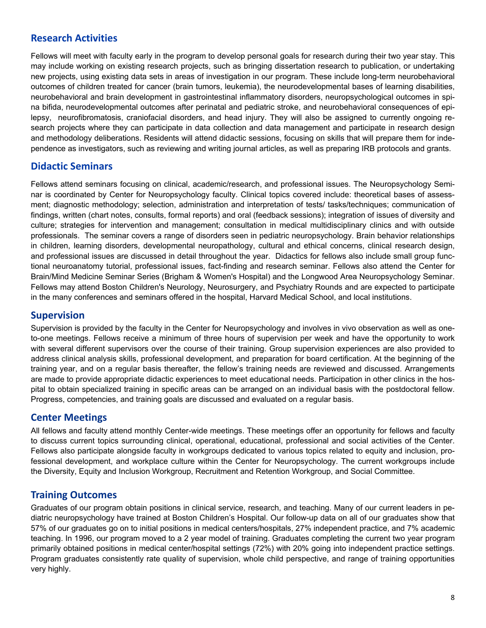## **Research Activities**

Fellows will meet with faculty early in the program to develop personal goals for research during their two year stay. This may include working on existing research projects, such as bringing dissertation research to publication, or undertaking new projects, using existing data sets in areas of investigation in our program. These include long-term neurobehavioral outcomes of children treated for cancer (brain tumors, leukemia), the neurodevelopmental bases of learning disabilities, neurobehavioral and brain development in gastrointestinal inflammatory disorders, neuropsychological outcomes in spina bifida, neurodevelopmental outcomes after perinatal and pediatric stroke, and neurobehavioral consequences of epilepsy, neurofibromatosis, craniofacial disorders, and head injury. They will also be assigned to currently ongoing research projects where they can participate in data collection and data management and participate in research design and methodology deliberations. Residents will attend didactic sessions, focusing on skills that will prepare them for independence as investigators, such as reviewing and writing journal articles, as well as preparing IRB protocols and grants.

## **Didactic Seminars**

Fellows attend seminars focusing on clinical, academic/research, and professional issues. The Neuropsychology Seminar is coordinated by Center for Neuropsychology faculty. Clinical topics covered include: theoretical bases of assessment; diagnostic methodology; selection, administration and interpretation of tests/ tasks/techniques; communication of findings, written (chart notes, consults, formal reports) and oral (feedback sessions); integration of issues of diversity and culture; strategies for intervention and management; consultation in medical multidisciplinary clinics and with outside professionals. The seminar covers a range of disorders seen in pediatric neuropsychology. Brain behavior relationships in children, learning disorders, developmental neuropathology, cultural and ethical concerns, clinical research design, and professional issues are discussed in detail throughout the year. Didactics for fellows also include small group functional neuroanatomy tutorial, professional issues, fact-finding and research seminar. Fellows also attend the Center for Brain/Mind Medicine Seminar Series (Brigham & Women's Hospital) and the Longwood Area Neuropsychology Seminar. Fellows may attend Boston Children's Neurology, Neurosurgery, and Psychiatry Rounds and are expected to participate in the many conferences and seminars offered in the hospital, Harvard Medical School, and local institutions.

#### **Supervision**

Supervision is provided by the faculty in the Center for Neuropsychology and involves in vivo observation as well as oneto-one meetings. Fellows receive a minimum of three hours of supervision per week and have the opportunity to work with several different supervisors over the course of their training. Group supervision experiences are also provided to address clinical analysis skills, professional development, and preparation for board certification. At the beginning of the training year, and on a regular basis thereafter, the fellow's training needs are reviewed and discussed. Arrangements are made to provide appropriate didactic experiences to meet educational needs. Participation in other clinics in the hospital to obtain specialized training in specific areas can be arranged on an individual basis with the postdoctoral fellow. Progress, competencies, and training goals are discussed and evaluated on a regular basis.

#### **Center Meetings**

All fellows and faculty attend monthly Center-wide meetings. These meetings offer an opportunity for fellows and faculty to discuss current topics surrounding clinical, operational, educational, professional and social activities of the Center. Fellows also participate alongside faculty in workgroups dedicated to various topics related to equity and inclusion, professional development, and workplace culture within the Center for Neuropsychology. The current workgroups include the Diversity, Equity and Inclusion Workgroup, Recruitment and Retention Workgroup, and Social Committee.

## **Training Outcomes**

Graduates of our program obtain positions in clinical service, research, and teaching. Many of our current leaders in pediatric neuropsychology have trained at Boston Children's Hospital. Our follow-up data on all of our graduates show that 57% of our graduates go on to initial positions in medical centers/hospitals, 27% independent practice, and 7% academic teaching. In 1996, our program moved to a 2 year model of training. Graduates completing the current two year program primarily obtained positions in medical center/hospital settings (72%) with 20% going into independent practice settings. Program graduates consistently rate quality of supervision, whole child perspective, and range of training opportunities very highly.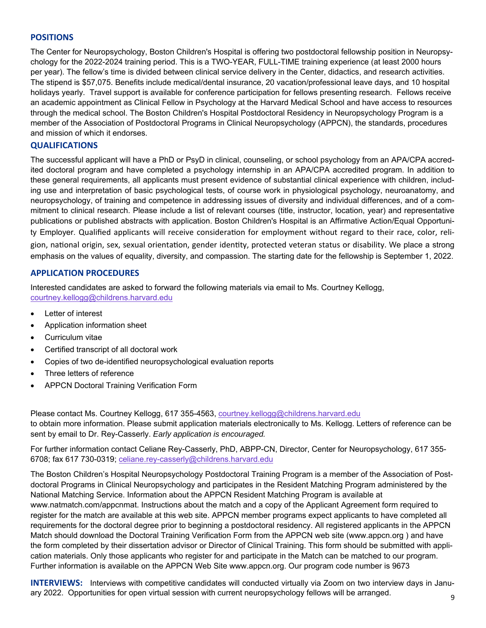#### **POSITIONS**

The Center for Neuropsychology, Boston Children's Hospital is offering two postdoctoral fellowship position in Neuropsychology for the 2022-2024 training period. This is a TWO-YEAR, FULL-TIME training experience (at least 2000 hours per year). The fellow's time is divided between clinical service delivery in the Center, didactics, and research activities. The stipend is \$57,075. Benefits include medical/dental insurance, 20 vacation/professional leave days, and 10 hospital holidays yearly. Travel support is available for conference participation for fellows presenting research. Fellows receive an academic appointment as Clinical Fellow in Psychology at the Harvard Medical School and have access to resources through the medical school. The Boston Children's Hospital Postdoctoral Residency in Neuropsychology Program is a member of the Association of Postdoctoral Programs in Clinical Neuropsychology (APPCN), the standards, procedures and mission of which it endorses.

#### **QUALIFICATIONS**

The successful applicant will have a PhD or PsyD in clinical, counseling, or school psychology from an APA/CPA accredited doctoral program and have completed a psychology internship in an APA/CPA accredited program. In addition to these general requirements, all applicants must present evidence of substantial clinical experience with children, including use and interpretation of basic psychological tests, of course work in physiological psychology, neuroanatomy, and neuropsychology, of training and competence in addressing issues of diversity and individual differences, and of a commitment to clinical research. Please include a list of relevant courses (title, instructor, location, year) and representative publications or published abstracts with application. Boston Children's Hospital is an Affirmative Action/Equal Opportunity Employer. Qualified applicants will receive consideration for employment without regard to their race, color, religion, national origin, sex, sexual orientation, gender identity, protected veteran status or disability. We place a strong emphasis on the values of equality, diversity, and compassion. The starting date for the fellowship is September 1, 2022.

#### **APPLICATION PROCEDURES**

Interested candidates are asked to forward the following materials via email to Ms. Courtney Kellogg, courtney.kellogg@childrens.harvard.edu

- Letter of interest
- Application information sheet
- Curriculum vitae
- Certified transcript of all doctoral work
- Copies of two de-identified neuropsychological evaluation reports
- Three letters of reference
- APPCN Doctoral Training Verification Form

Please contact Ms. Courtney Kellogg, 617 355-4563, courtney.kellogg@childrens.harvard.edu to obtain more information. Please submit application materials electronically to Ms. Kellogg. Letters of reference can be sent by email to Dr. Rey-Casserly. *Early application is encouraged.* 

For further information contact Celiane Rey-Casserly, PhD, ABPP-CN, Director, Center for Neuropsychology, 617 355- 6708; fax 617 730-0319; celiane.rey-casserly@childrens.harvard.edu

The Boston Children's Hospital Neuropsychology Postdoctoral Training Program is a member of the Association of Postdoctoral Programs in Clinical Neuropsychology and participates in the Resident Matching Program administered by the National Matching Service. Information about the APPCN Resident Matching Program is available at www.natmatch.com/appcnmat. Instructions about the match and a copy of the Applicant Agreement form required to register for the match are available at this web site. APPCN member programs expect applicants to have completed all requirements for the doctoral degree prior to beginning a postdoctoral residency. All registered applicants in the APPCN Match should download the Doctoral Training Verification Form from the APPCN web site (www.appcn.org ) and have the form completed by their dissertation advisor or Director of Clinical Training. This form should be submitted with application materials. Only those applicants who register for and participate in the Match can be matched to our program. Further information is available on the APPCN Web Site www.appcn.org. Our program code number is 9673

**INTERVIEWS:** Interviews with competitive candidates will conducted virtually via Zoom on two interview days in January 2022. Opportunities for open virtual session with current neuropsychology fellows will be arranged.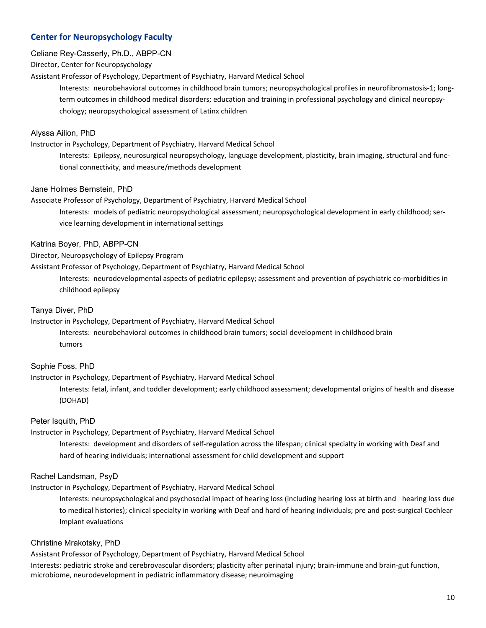#### **Center for Neuropsychology Faculty**

#### Celiane Rey-Casserly, Ph.D., ABPP-CN

Director, Center for Neuropsychology

Assistant Professor of Psychology, Department of Psychiatry, Harvard Medical School

Interests: neurobehavioral outcomes in childhood brain tumors; neuropsychological profiles in neurofibromatosis‐1; long‐ term outcomes in childhood medical disorders; education and training in professional psychology and clinical neuropsychology; neuropsychological assessment of Latinx children

#### Alyssa Ailion, PhD

Instructor in Psychology, Department of Psychiatry, Harvard Medical School

Interests: Epilepsy, neurosurgical neuropsychology, language development, plasticity, brain imaging, structural and func‐ tional connectivity, and measure/methods development

#### Jane Holmes Bernstein, PhD

Associate Professor of Psychology, Department of Psychiatry, Harvard Medical School

Interests: models of pediatric neuropsychological assessment; neuropsychological development in early childhood; service learning development in international settings

#### Katrina Boyer, PhD, ABPP-CN

Director, Neuropsychology of Epilepsy Program

Assistant Professor of Psychology, Department of Psychiatry, Harvard Medical School

Interests: neurodevelopmental aspects of pediatric epilepsy; assessment and prevention of psychiatric co-morbidities in childhood epilepsy

#### Tanya Diver, PhD

Instructor in Psychology, Department of Psychiatry, Harvard Medical School

Interests: neurobehavioral outcomes in childhood brain tumors; social development in childhood brain tumors

#### Sophie Foss, PhD

Instructor in Psychology, Department of Psychiatry, Harvard Medical School

Interests: fetal, infant, and toddler development; early childhood assessment; developmental origins of health and disease (DOHAD)

#### Peter Isquith, PhD

Instructor in Psychology, Department of Psychiatry, Harvard Medical School

Interests: development and disorders of self‐regulation across the lifespan; clinical specialty in working with Deaf and hard of hearing individuals; international assessment for child development and support

#### Rachel Landsman, PsyD

Instructor in Psychology, Department of Psychiatry, Harvard Medical School

Interests: neuropsychological and psychosocial impact of hearing loss (including hearing loss at birth and hearing loss due to medical histories); clinical specialty in working with Deaf and hard of hearing individuals; pre and post-surgical Cochlear Implant evaluations

#### Christine Mrakotsky, PhD

Assistant Professor of Psychology, Department of Psychiatry, Harvard Medical School

Interests: pediatric stroke and cerebrovascular disorders; plasticity after perinatal injury; brain-immune and brain-gut function, microbiome, neurodevelopment in pediatric inflammatory disease; neuroimaging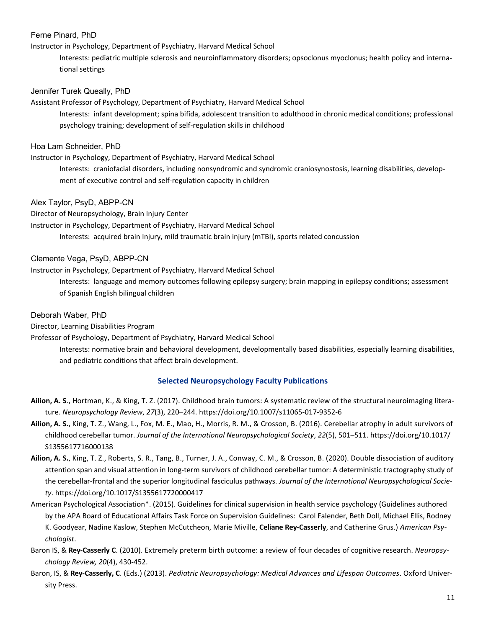#### Ferne Pinard, PhD

#### Instructor in Psychology, Department of Psychiatry, Harvard Medical School

Interests: pediatric multiple sclerosis and neuroinflammatory disorders; opsoclonus myoclonus; health policy and interna‐ tional settings

#### Jennifer Turek Queally, PhD

Assistant Professor of Psychology, Department of Psychiatry, Harvard Medical School Interests: infant development; spina bifida, adolescent transition to adulthood in chronic medical conditions; professional psychology training; development of self‐regulation skills in childhood

#### Hoa Lam Schneider, PhD

Instructor in Psychology, Department of Psychiatry, Harvard Medical School

Interests: craniofacial disorders, including nonsyndromic and syndromic craniosynostosis, learning disabilities, develop‐ ment of executive control and self‐regulation capacity in children

#### Alex Taylor, PsyD, ABPP-CN

Director of Neuropsychology, Brain Injury Center

- Instructor in Psychology, Department of Psychiatry, Harvard Medical School
	- Interests: acquired brain Injury, mild traumatic brain injury (mTBI), sports related concussion

#### Clemente Vega, PsyD, ABPP-CN

Instructor in Psychology, Department of Psychiatry, Harvard Medical School

Interests: language and memory outcomes following epilepsy surgery; brain mapping in epilepsy conditions; assessment of Spanish English bilingual children

#### Deborah Waber, PhD

Director, Learning Disabilities Program

Professor of Psychology, Department of Psychiatry, Harvard Medical School

Interests: normative brain and behavioral development, developmentally based disabilities, especially learning disabilities, and pediatric conditions that affect brain development.

#### **Selected Neuropsychology Faculty Publications**

- **Ailion, A. S**., Hortman, K., & King, T. Z. (2017). Childhood brain tumors: A systematic review of the structural neuroimaging litera‐ ture. *Neuropsychology Review*, *27*(3), 220–244. https://doi.org/10.1007/s11065‐017‐9352‐6
- **Ailion, A. S.**, King, T. Z., Wang, L., Fox, M. E., Mao, H., Morris, R. M., & Crosson, B. (2016). Cerebellar atrophy in adult survivors of childhood cerebellar tumor. *Journal of the International Neuropsychological Society*, *22*(5), 501–511. https://doi.org/10.1017/ S1355617716000138
- **Ailion, A. S.**, King, T. Z., Roberts, S. R., Tang, B., Turner, J. A., Conway, C. M., & Crosson, B. (2020). Double dissociation of auditory attention span and visual attention in long‐term survivors of childhood cerebellar tumor: A deterministic tractography study of the cerebellar‐frontal and the superior longitudinal fasciculus pathways. *Journal of the International Neuropsychological Society*. https://doi.org/10.1017/S1355617720000417
- American Psychological Association\*. (2015). Guidelines for clinical supervision in health service psychology (Guidelines authored by the APA Board of Educational Affairs Task Force on Supervision Guidelines: Carol Falender, Beth Doll, Michael Ellis, Rodney K. Goodyear, Nadine Kaslow, Stephen McCutcheon, Marie Miville, **Celiane Rey‐Casserly**, and Catherine Grus.) *American Psychologist*.
- Baron IS, & **Rey‐Casserly C**. (2010). Extremely preterm birth outcome: a review of four decades of cognitive research. *Neuropsychology Review, 20*(4), 430‐452.
- Baron, IS, & **Rey‐Casserly, C**. (Eds.) (2013). *Pediatric Neuropsychology: Medical Advances and Lifespan Outcomes*. Oxford Univer‐ sity Press.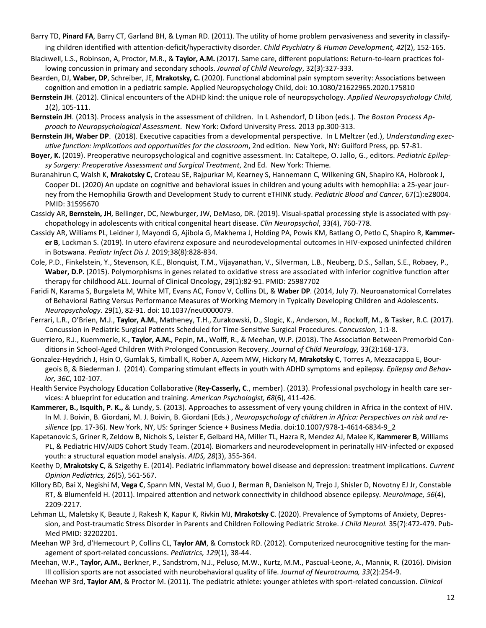- Barry TD, **Pinard FA**, Barry CT, Garland BH, & Lyman RD. (2011). The utility of home problem pervasiveness and severity in classify‐ ing children identified with attention‐deficit/hyperactivity disorder. *Child Psychiatry & Human Development, 42*(2), 152‐165.
- Blackwell, L.S., Robinson, A, Proctor, M.R., & Taylor, A.M. (2017). Same care, different populations: Return-to-learn practices following concussion in primary and secondary schools. *Journal of Child Neurology*, 32(3):327‐333.
- Bearden, DJ, Waber, DP, Schreiber, JE, Mrakotsky, C. (2020). Functional abdominal pain symptom severity: Associations between cognition and emotion in a pediatric sample. Applied Neuropsychology Child, doi: 10.1080/21622965.2020.175810
- **Bernstein JH**. (2012). Clinical encounters of the ADHD kind: the unique role of neuropsychology. *Applied Neuropsychology Child, 1*(2), 105‐111.
- **Bernstein JH**. (2013). Process analysis in the assessment of children. In L Ashendorf, D Libon (eds.). *The Boston Process Approach to Neuropsychological Assessment*. New York: Oxford University Press. 2013 pp.300‐313.
- Bernstein JH, Waber DP. (2018). Executive capacities from a developmental perspective. In L Meltzer (ed.), *Understanding execuƟve funcƟon: implicaƟons and opportuniƟes for the classroom*, 2nd ediƟon. New York, NY: Guilford Press, pp. 57‐81.
- Boyer, K. (2019). Preoperative neuropsychological and cognitive assessment. In: Cataltepe, O. Jallo, G., editors. Pediatric Epilep*sy Surgery: PreoperaƟve Assessment and Surgical Treatment*, 2nd Ed. New York: Thieme.
- Buranahirun C, Walsh K, **Mrakotsky C**, Croteau SE, Rajpurkar M, Kearney S, Hannemann C, Wilkening GN, Shapiro KA, Holbrook J, Cooper DL. (2020) An update on cognitive and behavioral issues in children and young adults with hemophilia: a 25-year journey from the Hemophilia Growth and Development Study to current eTHINK study. *Pediatric Blood and Cancer*, 67(1):e28004. PMID: 31595670
- Cassidy AR, Bernstein, JH, Bellinger, DC, Newburger, JW, DeMaso, DR. (2019). Visual-spatial processing style is associated with psychopathology in adolescents with critical congenital heart disease. *Clin Neuropsychol*, 33(4), 760-778.
- Cassidy AR, Williams PL, Leidner J, Mayondi G, Ajibola G, Makhema J, Holding PA, Powis KM, Batlang O, Petlo C, Shapiro R, **Kammer‐ er B**, Lockman S. (2019). In utero efavirenz exposure and neurodevelopmental outcomes in HIV‐exposed uninfected children in Botswana. *Pediatr Infect Dis J.* 2019;38(8):828‐834.
- Cole, P.D., Finkelstein, Y., Stevenson, K.E., Blonquist, T.M., Vijayanathan, V., Silverman, L.B., Neuberg, D.S., Sallan, S.E., Robaey, P., **Waber, D.P.** (2015). Polymorphisms in genes related to oxidative stress are associated with inferior cognitive function after therapy for childhood ALL. Journal of Clinical Oncology, 29(1):82‐91. PMID: 25987702
- Faridi N, Karama S, Burgaleta M, White MT, Evans AC, Fonov V, Collins DL, & **Waber DP**. (2014, July 7). Neuroanatomical Correlates of Behavioral Rating Versus Performance Measures of Working Memory in Typically Developing Children and Adolescents. *Neuropsychology*. 29(1), 82‐91. doi: 10.1037/neu0000079.
- Ferrari, L.R., O'Brien, M.J., **Taylor, A.M.**, Matheney, T.H., Zurakowski, D., Slogic, K., Anderson, M., Rockoff, M., & Tasker, R.C. (2017). Concussion in Pediatric Surgical Patients Scheduled for Time-Sensitive Surgical Procedures. *Concussion*, 1:1-8.
- Guerriero, R.J., Kuemmerle, K., Taylor, A.M., Pepin, M., Wolff, R., & Meehan, W.P. (2018). The Association Between Premorbid Conditions in School-Aged Children With Prolonged Concussion Recovery. *Journal of Child Neurology,* 33(2):168-173.
- Gonzalez‐Heydrich J, Hsin O, Gumlak S, Kimball K, Rober A, Azeem MW, Hickory M, **Mrakotsky C**, Torres A, Mezzacappa E, Bour‐ geois B, & Biederman J. (2014). Comparing sƟmulant effects in youth with ADHD symptoms and epilepsy. *Epilepsy and Behavior, 36C*, 102‐107.
- Health Service Psychology Education Collaborative (Rey-Casserly, C., member). (2013). Professional psychology in health care services: A blueprint for education and training. American Psychologist, 68(6), 411-426.
- **Kammerer, B., Isquith, P. K.,** & Lundy, S. (2013). Approaches to assessment of very young children in Africa in the context of HIV. In M. J. Boivin, B. Giordani, M. J. Boivin, B. Giordani (Eds.), *Neuropsychology of children in Africa: Perspectives on risk and resilience* (pp. 17‐36). New York, NY, US: Springer Science + Business Media. doi:10.1007/978‐1‐4614‐6834‐9\_2
- Kapetanovic S, Griner R, Zeldow B, Nichols S, Leister E, Gelbard HA, Miller TL, Hazra R, Mendez AJ, Malee K, **Kammerer B**, Williams PL, & Pediatric HIV/AIDS Cohort Study Team. (2014). Biomarkers and neurodevelopment in perinatally HIV‐infected or exposed youth: a structural equaƟon model analysis. *AIDS, 28*(3), 355‐364.
- Keethy D, Mrakotsky C, & Szigethy E. (2014). Pediatric inflammatory bowel disease and depression: treatment implications. Current *Opinion Pediatrics, 26*(5), 561‐567.
- Killory BD, Bai X, Negishi M, **Vega C**, Spann MN, Vestal M, Guo J, Berman R, Danielson N, Trejo J, Shisler D, Novotny EJ Jr, Constable RT, & Blumenfeld H. (2011). Impaired attention and network connectivity in childhood absence epilepsy. Neuroimage, 56(4), 2209‐2217.
- Lehman LL, Maletsky K, Beaute J, Rakesh K, Kapur K, Rivkin MJ, **Mrakotsky C**. (2020). Prevalence of Symptoms of Anxiety, Depres‐ sion, and Post-traumatic Stress Disorder in Parents and Children Following Pediatric Stroke. *J Child Neurol.* 35(7):472-479. Pub-Med PMID: 32202201.
- Meehan WP 3rd, d'Hemecourt P, Collins CL, Taylor AM, & Comstock RD. (2012). Computerized neurocognitive testing for the management of sport‐related concussions. *Pediatrics, 129*(1), 38‐44.
- Meehan, W.P., **Taylor, A.M.**, Berkner, P., Sandstrom, N.J., Peluso, M.W., Kurtz, M.M., Pascual‐Leone, A., Mannix, R. (2016). Division III collision sports are not associated with neurobehavioral quality of life. *Journal of Neurotrauma, 33*(2):254‐9.
- Meehan WP 3rd, **Taylor AM**, & Proctor M. (2011). The pediatric athlete: younger athletes with sport‐related concussion. *Clinical*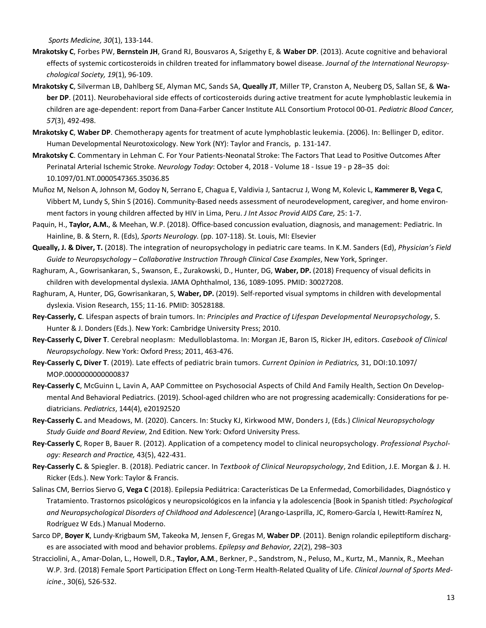*Sports Medicine, 30*(1), 133‐144.

- **Mrakotsky C**, Forbes PW, **Bernstein JH**, Grand RJ, Bousvaros A, Szigethy E, & **Waber DP**. (2013). Acute cognitive and behavioral effects of systemic corticosteroids in children treated for inflammatory bowel disease. *Journal of the International Neuropsychological Society, 19*(1), 96‐109.
- **Mrakotsky C**, Silverman LB, Dahlberg SE, Alyman MC, Sands SA, **Queally JT**, Miller TP, Cranston A, Neuberg DS, Sallan SE, & **Wa‐ ber DP**. (2011). Neurobehavioral side effects of corticosteroids during active treatment for acute lymphoblastic leukemia in children are age‐dependent: report from Dana‐Farber Cancer Institute ALL Consortium Protocol 00‐01. *Pediatric Blood Cancer, 57*(3), 492‐498.
- **Mrakotsky C**, **Waber DP**. Chemotherapy agents for treatment of acute lymphoblastic leukemia. (2006). In: Bellinger D, editor. Human Developmental Neurotoxicology. New York (NY): Taylor and Francis, p. 131‐147.
- Mrakotsky C. Commentary in Lehman C. For Your Patients-Neonatal Stroke: The Factors That Lead to Positive Outcomes After Perinatal Arterial Ischemic Stroke. *Neurology Today*: October 4, 2018 ‐ Volume 18 ‐ Issue 19 ‐ p 28–35 doi: 10.1097/01.NT.0000547365.35036.85
- Muñoz M, Nelson A, Johnson M, Godoy N, Serrano E, Chagua E, Valdivia J, Santacruz J, Wong M, Kolevic L, **Kammerer B, Vega C**, Vibbert M, Lundy S, Shin S (2016). Community‐Based needs assessment of neurodevelopment, caregiver, and home environ‐ ment factors in young children affected by HIV in Lima, Peru. *J Int Assoc Provid AIDS Care,* 25: 1‐7.
- Paquin, H., **Taylor, A.M.**, & Meehan, W.P. (2018). Office‐based concussion evaluation, diagnosis, and management: Pediatric. In Hainline, B. & Stern, R. (Eds), *Sports Neurology.* (pp. 107‐118). St. Louis, MI: Elsevier
- **Queally, J. & Diver, T.** (2018). The integration of neuropsychology in pediatric care teams. In K.M. Sanders (Ed), *Physician's Field Guide to Neuropsychology – Collaborative Instruction Through Clinical Case Examples*, New York, Springer.
- Raghuram, A., Gowrisankaran, S., Swanson, E., Zurakowski, D., Hunter, DG, **Waber, DP.** (2018) Frequency of visual deficits in children with developmental dyslexia. JAMA Ophthalmol, 136, 1089‐1095. PMID: 30027208.
- Raghuram, A, Hunter, DG, Gowrisankaran, S, **Waber, DP.** (2019). Self‐reported visual symptoms in children with developmental dyslexia. Vision Research, 155; 11‐16. PMID: 30528188.
- **Rey‐Casserly, C**. Lifespan aspects of brain tumors. In: *Principles and Practice of Lifespan Developmental Neuropsychology*, S. Hunter & J. Donders (Eds.). New York: Cambridge University Press; 2010.
- **Rey‐Casserly C, Diver T**. Cerebral neoplasm: Medulloblastoma. In: Morgan JE, Baron IS, Ricker JH, editors. *Casebook of Clinical Neuropsychology*. New York: Oxford Press; 2011, 463‐476.
- **Rey‐Casserly C, Diver T**. (2019). Late effects of pediatric brain tumors. *Current Opinion in Pediatrics,* 31, DOI:10.1097/ MOP.0000000000000837
- **Rey‐Casserly C**, McGuinn L, Lavin A, AAP Committee on Psychosocial Aspects of Child And Family Health, Section On Develop‐ mental And Behavioral Pediatrics. (2019). School-aged children who are not progressing academically: Considerations for pediatricians. *Pediatrics*, 144(4), e20192520
- **Rey‐Casserly C.** and Meadows, M. (2020). Cancers. In: Stucky KJ, Kirkwood MW, Donders J, (Eds.) *Clinical Neuropsychology Study Guide and Board Review*, 2nd Edition. New York: Oxford University Press.
- **Rey‐Casserly C**, Roper B, Bauer R. (2012). Application of a competency model to clinical neuropsychology. *Professional Psychology: Research and Practice,* 43(5), 422‐431.
- **Rey‐Casserly C.** & Spiegler. B. (2018). Pediatric cancer. In *Textbook of Clinical Neuropsychology*, 2nd Edition, J.E. Morgan & J. H. Ricker (Eds.). New York: Taylor & Francis.
- Salinas CM, Berrios Siervo G, **Vega C** (2018). Epilepsia Pediátrica: Características De La Enfermedad, Comorbilidades, Diagnóstico y Tratamiento. Trastornos psicológicos y neuropsicológicos en la infancia y la adolescencia [Book in Spanish titled: *Psychological and Neuropsychological Disorders of Childhood and Adolescence*] (Arango‐Lasprilla, JC, Romero‐García I, Hewitt‐Ramírez N, Rodríguez W Eds.) Manual Moderno.
- Sarco DP, **Boyer K**, Lundy‐Krigbaum SM, Takeoka M, Jensen F, Gregas M, **Waber DP**. (2011). Benign rolandic epilepƟform discharg‐ es are associated with mood and behavior problems. *Epilepsy and Behavior, 22*(2), 298–303
- Stracciolini, A., Amar‐Dolan, L., Howell, D.R., **Taylor, A.M**., Berkner, P., Sandstrom, N., Peluso, M., Kurtz, M., Mannix, R., Meehan W.P. 3rd. (2018) Female Sport Participation Effect on Long‐Term Health‐Related Quality of Life. *Clinical Journal of Sports Medicine*., 30(6), 526‐532.